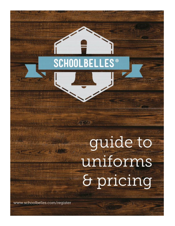# **SCHOOLBELLES<sup>®</sup>**

非常的

# guide to uniforms & pricing

www.schoolbelles.com/register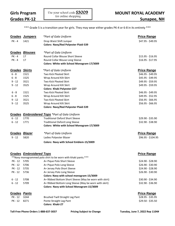\*\*\* Grade 5 is a transition year for girls. They may wear either grades PK-4 or 6-8 in its entirety \*\*\*

|                      | <b>Grades Jumpers</b>          | *Part of Gala Uniform                                                  | <b>Price Range</b> |
|----------------------|--------------------------------|------------------------------------------------------------------------|--------------------|
| $PK - 4$             | 1421                           | Drop Waist Shift Jumper<br><b>Colors: Navy/Red Polyester Plaid-539</b> | \$47.95 - \$49.95  |
|                      | Grades Blouses                 | *Part of Gala Uniform                                                  |                    |
| $PK - 4$             | 17                             | Round Collar Blouse Short Sleeve                                       | \$15.95 - \$16.95  |
| PK - 4               | 17                             | Round Collar Blouse Long Sleeve                                        | $$16.95 - $17.95$  |
|                      |                                | Colors: White with School Monogram-17/3009                             |                    |
| <b>Grades Skirts</b> |                                | *Part of Gala Uniform                                                  | <b>Price Range</b> |
| $6 - 8$              | 1521                           | Two Kick Pleated Skirt                                                 | \$46.95 - \$49.95  |
| $6 - 8$              | 1525                           | Wrap Around Kilt Skirt                                                 | \$45.95 - \$49.95  |
| $9 - 12$             | 3521                           | Two Kick Pleated Skirt                                                 | \$49.95 - \$59.95  |
| $9 - 12$             | 3525                           | Wrap Around Kilt Skirt                                                 | \$49.95 - \$59.95  |
|                      |                                | <b>Colors: Khaki Polyester-227</b>                                     |                    |
| $6 - 8$              | 1521                           | <b>Two Kick Pleated Skirt</b>                                          | \$46.95 - \$49.95  |
| $6 - 8$              | 1525                           | Wrap Around Kilt Skirt                                                 | \$49.95 - \$52.95  |
| $9 - 12$             | 3521                           | Two Kick Pleated Skirt                                                 | $$56.95 - $66.95$  |
| $9 - 12$             | 3525                           | Wrap Around Kilt Skirt                                                 | $$56.95 - $66.95$  |
|                      |                                | <b>Colors: Navy/Red Polyester Plaid-539</b>                            |                    |
| Grades               |                                | <b>Embroidered Tops</b> *Part of Gala Uniform                          |                    |
| $6 - 12$             | 1770                           | <b>Traditional Oxford Short Sleeve</b>                                 | \$29.90 - \$35.90  |
| $6 - 12$             | 1771                           | <b>Traditional Oxford Long Sleeve</b>                                  | \$32.90 - \$38.90  |
|                      |                                | Colors: White with School Monogram-17/3009                             |                    |
| Grades               | <u>Blazer</u>                  | *Part of Gala Uniform                                                  | <b>Price Range</b> |
| $9 - 12$             | 5820                           | Ladies Polyester Blazer                                                | \$96.95 - \$104.95 |
|                      |                                | Colors: Navy with School Emblem-15/3009                                |                    |
|                      |                                |                                                                        |                    |
|                      | <b>Grades Embroidered Tops</b> |                                                                        | <b>Price Range</b> |
|                      |                                | **Navy monogrammed polo shirt to be worn with khaki pants.***          |                    |
| PK - 12              | 5705                           | A+ Pique Polo Short Sleeve                                             | \$24.90 - \$28.90  |
| PK - 12              | 5706                           | A+ Pique Polo Long Sleeve                                              | \$26.90 - \$30.90  |
| PK - 12              | 5735                           | A+ Jersey Polo Short Sleeve                                            | \$24.90 - \$28.90  |
| PK - 12              | 5736                           | A+ Jersey Polo Long Sleeve                                             | \$26.90 - \$30.90  |
|                      |                                | Colors: Navy with school monogram-15/3009                              |                    |
| $6 - 12$             | 5708                           | A+ Ribbed Bottom Short Sleeve (May be worn with skirt)                 | \$30.90 - \$34.90  |
| $6 - 12$             | 5709                           | A+ Ribbed Bottom Long Sleeve (May be worn with skirt)                  | \$32.90 - \$36.90  |
|                      |                                | Colors: Navy with School Monogram-15/3009                              |                    |
| <b>Grades Pants</b>  |                                |                                                                        | <b>Price Range</b> |
| PK - 12              | 3244                           | <b>Brushed Twill Straight Leg Pant</b>                                 | $$28.95 - $35.95$  |
| PK - 12              | 8271                           | Ponte Straight Leg Pant<br>Colors: Khaki-27                            | \$29.50 - \$35.50  |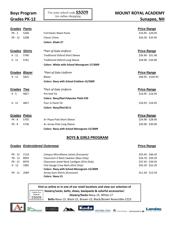#### **Grades PK-12 Letter Supply Sunapee, NH**

Landau

SPERRY O

| <b>Grades Pants</b>  |      |                                             | <b>Price Range</b> |
|----------------------|------|---------------------------------------------|--------------------|
| <b>PK - 2</b>        | 5204 | <b>Full Elastic Waist Pants</b>             | $$16.95 - $26.95$  |
| PK - 12              | 5208 | Classic Chino                               | $$26.50 - $33.95$  |
|                      |      | <b>Colors: Khaki-27</b>                     |                    |
| <b>Grades Shirts</b> |      | *Part of Gala Uniform                       | <b>Price Range</b> |
| $K - 12$             | 5760 | <b>Traditional Oxford Short Sleeve</b>      | \$26.90 - \$31.90  |
| $K - 12$             | 5761 | <b>Traditional Oxford Long Sleeve</b>       | \$28.90 - \$34.90  |
|                      |      | Colors: White with School Monogram-17/3009  |                    |
| Grades Blazer        |      | *Part of Gala Uniform                       | <b>Price Range</b> |
| $9 - 12$             | 5825 | Blazer                                      | \$96.95 - \$104.95 |
|                      |      | Colors: Navy with School Emblem-15/3009     |                    |
| Grades Ties          |      | *Part of Gala Uniform                       | <b>Price Range</b> |
| $K - 5$              | 4827 | Pre-tied Tie                                | $$16.95 - $16.95$  |
|                      |      | <b>Colors: Navy/Red Polyester Plaid-539</b> |                    |
| $6 - 12$             | 4827 | Four in Hand Tie                            | $$16.95 - $16.95$  |
|                      |      | Colors: Navy/Red-8111                       |                    |
| Grades Polos         |      |                                             | <b>Price Range</b> |
| <b>PK - 8</b>        | 5705 | A+ Pique Polo Short Sleeve                  | \$24.90 - \$28.90  |
| <b>PK - 8</b>        | 5736 | A+ Jersey Polo Long Sleeve                  | \$26.90 - \$30.90  |
|                      |      | Colors: Navy with School Monogram-15/3009   |                    |

#### **BOYS & GIRLS PROGRAM**

|          | <b>Grades Embroidered Outerwear</b> |                                            | <b>Price Range</b> |
|----------|-------------------------------------|--------------------------------------------|--------------------|
| PK - 12  | 2110                                | Campus Microfleece Jacket (Everyone)       | \$43.45 - \$46.45  |
| PK - 12  | 8993                                | Classroom V-Neck Sweater (Boys Only)       | \$34.70 - \$39.20  |
| PK - 12  | 8970                                | Classroom Jewel Neck Cardigan (Girls Only) | $$37.45 - $39.45$  |
| $6 - 12$ | 1985                                | Fine Gauge Crew Neck (Girls Only)          | \$42.20 - \$52.20  |
|          |                                     | Colors: Navy with School Monogram-15/3009  |                    |
| PK - 12  | 2069                                | Jersey Gym Shorts (Everyone)               | $$11.50 - $13.50$  |
|          |                                     | <b>Colors: Navy-15</b>                     |                    |

| Visit us online or in one of our retail locations and view our selection of |                                                                                                                       |  |  |
|-----------------------------------------------------------------------------|-----------------------------------------------------------------------------------------------------------------------|--|--|
|                                                                             | $\overline{\overline{\phantom{h_{\text{Colors} For}}}$ hosiery/socks, belts, shoes, backpacks & colorful accessories! |  |  |
| School<br>   S3009                                                          | Hosiery/Socks-Navy-15, White-17                                                                                       |  |  |
|                                                                             | Belts-Navy-15, Black-22, Brown-23, Black/Brown Reversible-2223                                                        |  |  |

Keds

stride rite A

 $\sum$ 

liza<sup>8</sup>dianu

CLASSROOM